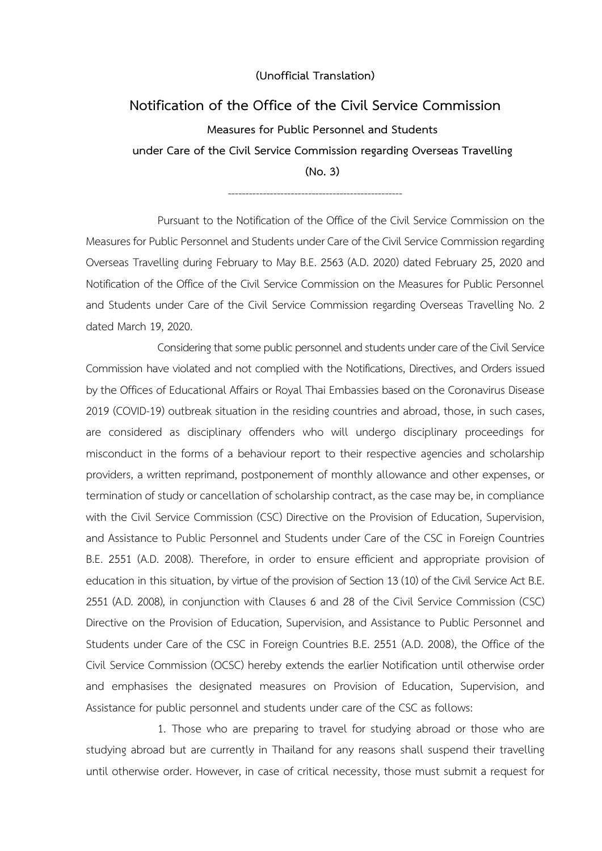## **(Unofficial Translation)**

## **Notification of the Office of the Civil Service Commission**

**Measures for Public Personnel and Students under Care of the Civil Service Commission regarding Overseas Travelling (No. 3)**

--------------------------------------------------

Pursuant to the Notification of the Office of the Civil Service Commission on the Measures for Public Personnel and Students under Care of the Civil Service Commission regarding Overseas Travelling during February to May B.E. 2563 (A.D. 2020) dated February 25, 2020 and Notification of the Office of the Civil Service Commission on the Measures for Public Personnel and Students under Care of the Civil Service Commission regarding Overseas Travelling No. 2 dated March 19, 2020.

Considering that some public personnel and students under care of the Civil Service Commission have violated and not complied with the Notifications, Directives, and Orders issued by the Offices of Educational Affairs or Royal Thai Embassies based on the Coronavirus Disease 2019 (COVID-19) outbreak situation in the residing countries and abroad, those, in such cases, are considered as disciplinary offenders who will undergo disciplinary proceedings for misconduct in the forms of a behaviour report to their respective agencies and scholarship providers, a written reprimand, postponement of monthly allowance and other expenses, or termination of study or cancellation of scholarship contract, as the case may be, in compliance with the Civil Service Commission (CSC) Directive on the Provision of Education, Supervision, and Assistance to Public Personnel and Students under Care of the CSC in Foreign Countries B.E. 2551 (A.D. 2008). Therefore, in order to ensure efficient and appropriate provision of education in this situation, by virtue of the provision of Section 13 (10) of the Civil Service Act B.E. 2551 (A.D. 2008), in conjunction with Clauses 6 and 28 of the Civil Service Commission (CSC) Directive on the Provision of Education, Supervision, and Assistance to Public Personnel and Students under Care of the CSC in Foreign Countries B.E. 2551 (A.D. 2008), the Office of the Civil Service Commission (OCSC) hereby extends the earlier Notification until otherwise order and emphasises the designated measures on Provision of Education, Supervision, and Assistance for public personnel and students under care of the CSC as follows:

1. Those who are preparing to travel for studying abroad or those who are studying abroad but are currently in Thailand for any reasons shall suspend their travelling until otherwise order. However, in case of critical necessity, those must submit a request for